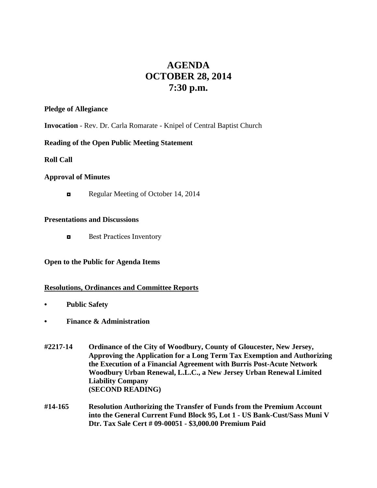# **AGENDA OCTOBER 28, 2014 7:30 p.m.**

### **Pledge of Allegiance**

**Invocation** - Rev. Dr. Carla Romarate - Knipel of Central Baptist Church

## **Reading of the Open Public Meeting Statement**

**Roll Call**

## **Approval of Minutes**

Regular Meeting of October 14, 2014

## **Presentations and Discussions**

**◘** Best Practices Inventory

## **Open to the Public for Agenda Items**

## **Resolutions, Ordinances and Committee Reports**

- **• Public Safety**
- **• Finance & Administration**
- **#2217-14 Ordinance of the City of Woodbury, County of Gloucester, New Jersey, Approving the Application for a Long Term Tax Exemption and Authorizing the Execution of a Financial Agreement with Burris Post-Acute Network Woodbury Urban Renewal, L.L.C., a New Jersey Urban Renewal Limited Liability Company (SECOND READING)**
- **#14-165 Resolution Authorizing the Transfer of Funds from the Premium Account into the General Current Fund Block 95, Lot 1 - US Bank-Cust/Sass Muni V Dtr. Tax Sale Cert # 09-00051 - \$3,000.00 Premium Paid**